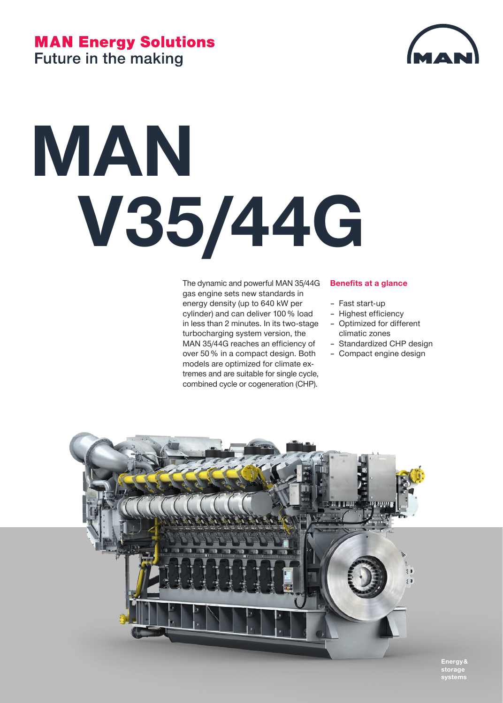## **MAN Energy Solutions Future in the making**



# **MAN V35/44G**

The dynamic and powerful MAN 35/44G gas engine sets new standards in energy density (up to 640 kW per cylinder) and can deliver 100 % load in less than 2 minutes. In its two-stage turbocharging system version, the MAN 35/44G reaches an efficiency of over 50 % in a compact design. Both models are optimized for climate extremes and are suitable for single cycle, combined cycle or cogeneration (CHP).

#### **Benefits at a glance**

- Fast start-up
- Highest efficiency
- Optimized for different climatic zones
- Standardized CHP design
- Compact engine design



**Energy & storage systems**